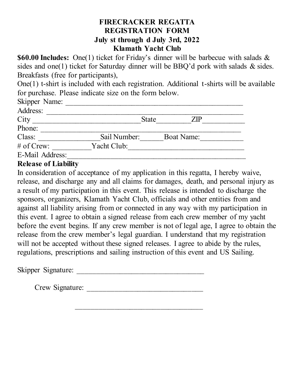## **FIRECRACKER REGATTA REGISTRATION FORM July st through d July 3rd, 2022 Klamath Yacht Club**

**\$60.00 Includes:** One(1) ticket for Friday's dinner will be barbecue with salads & sides and one(1) ticket for Saturday dinner will be BBQ'd pork with salads & sides. Breakfasts (free for participants),

One(1) t-shirt is included with each registration. Additional t-shirts will be available for purchase. Please indicate size on the form below.

| Skipper Name:   |              |                   |    |
|-----------------|--------------|-------------------|----|
| Address:        |              |                   |    |
| City            |              | <b>State</b>      | ZP |
| Phone:          |              |                   |    |
| Class:          | Sail Number: | <b>Boat Name:</b> |    |
| $#$ of Crew:    | Yacht Club:  |                   |    |
| E-Mail Address: |              |                   |    |

## **Release of Liability**

In consideration of acceptance of my application in this regatta, I hereby waive, release, and discharge any and all claims for damages, death, and personal injury as a result of my participation in this event. This release is intended to discharge the sponsors, organizers, Klamath Yacht Club, officials and other entities from and against all liability arising from or connected in any way with my participation in this event. I agree to obtain a signed release from each crew member of my yacht before the event begins. If any crew member is not of legal age, I agree to obtain the release from the crew member's legal guardian. I understand that my registration will not be accepted without these signed releases. I agree to abide by the rules, regulations, prescriptions and sailing instruction of this event and US Sailing.

Skipper Signature: \_\_\_\_\_\_\_\_\_\_\_\_\_\_\_\_\_\_\_\_\_\_\_\_\_\_\_\_\_\_\_\_\_

Crew Signature:

 $\mathcal{L}_\text{max}$  and the contract of the contract of the contract of the contract of the contract of the contract of the contract of the contract of the contract of the contract of the contract of the contract of the contrac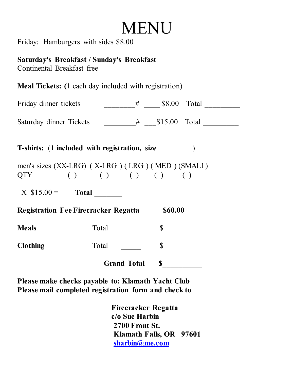## **MENU**

Friday: Hamburgers with sides \$8.00

**Saturday's Breakfast / Sunday's Breakfast** Continental Breakfast free

**Meal Tickets: (**1 each day included with registration)

| Friday dinner tickets   | \$8.00 Total   |  |
|-------------------------|----------------|--|
|                         |                |  |
| Saturday dinner Tickets | $$15.00$ Total |  |

**T-shirts:** (**1 included with registration, size**\_\_\_\_\_\_\_\_\_)

men's sizes (XX-LRG) ( X-LRG ) ( LRG ) ( MED ) (SMALL)  $QTY$  ( ) ( ) ( ) ( ) ( )

 $X \$15.00 =$  Total

**Registration Fee Firecracker Regatta \$60.00 Meals** Total <u>\_\_\_\_\_\_\_</u> \$

Clothing Total \,  $\int$ 

Grand Total \$

**Please make checks payable to: Klamath Yacht Club Please mail completed registration form and check to**

> **Firecracker Regatta c/o Sue Harbin 2700 Front St. Klamath Falls, OR 97601 [sharbin@me.com](mailto:sharbin@me.com)**